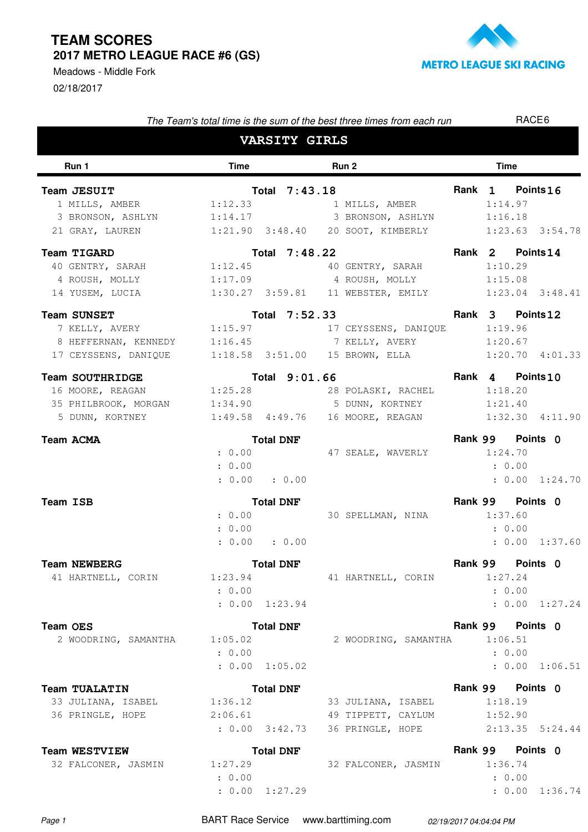02/18/2017 Meadows - Middle Fork



| The Team's total time is the sum of the best three times from each run |                   |                           |  |                                                   |                  | RACE <sub>6</sub> |                     |  |
|------------------------------------------------------------------------|-------------------|---------------------------|--|---------------------------------------------------|------------------|-------------------|---------------------|--|
|                                                                        |                   | <b>VARSITY GIRLS</b>      |  |                                                   |                  |                   |                     |  |
| Run 1                                                                  | <b>Time</b>       |                           |  | Run 2                                             |                  | <b>Time</b>       |                     |  |
| Team JESUIT                                                            |                   | Total 7:43.18             |  |                                                   |                  | Rank 1 Points 16  |                     |  |
| 1 MILLS, AMBER                                                         | 1:12.33           |                           |  | 1 MILLS, AMBER                                    |                  | 1:14.97           |                     |  |
| 3 BRONSON, ASHLYN                                                      |                   |                           |  | 1:14.17 3 BRONSON, ASHLYN 1:16.18                 |                  |                   |                     |  |
| 21 GRAY, LAUREN                                                        |                   |                           |  | 1:21.90 3:48.40 20 SOOT, KIMBERLY 1:23.63 3:54.78 |                  |                   |                     |  |
| <b>Team TIGARD</b>                                                     |                   | Total 7:48.22             |  |                                                   |                  | Rank 2 Points 14  |                     |  |
| 40 GENTRY, SARAH                                                       | 1:12.45           |                           |  | 40 GENTRY, SARAH                                  |                  | 1:10.29           |                     |  |
| 4 ROUSH, MOLLY                                                         |                   |                           |  | 1:17.09 4 ROUSH, MOLLY                            |                  | 1:15.08           |                     |  |
| 14 YUSEM, LUCIA                                                        |                   |                           |  | 1:30.27 3:59.81 11 WEBSTER, EMILY                 |                  |                   | $1:23.04$ $3:48.41$ |  |
| <b>Team SUNSET</b>                                                     |                   | Total 7:52.33             |  |                                                   |                  | Rank 3 Points 12  |                     |  |
| 7 KELLY, AVERY                                                         |                   |                           |  | 1:15.97 17 CEYSSENS, DANIQUE                      |                  | 1:19.96           |                     |  |
| 8 HEFFERNAN, KENNEDY 1:16.45 7 KELLY, AVERY                            |                   |                           |  |                                                   |                  | 1:20.67           |                     |  |
| 17 CEYSSENS, DANIQUE                                                   |                   |                           |  | 1:18.58 3:51.00 15 BROWN, ELLA                    |                  |                   | $1:20.70$ $4:01.33$ |  |
| <b>Team SOUTHRIDGE</b>                                                 |                   | Total 9:01.66             |  |                                                   |                  | Rank 4 Points10   |                     |  |
| 16 MOORE, REAGAN                                                       | 1:25.28           |                           |  | 28 POLASKI, RACHEL 1:18.20                        |                  |                   |                     |  |
| 35 PHILBROOK, MORGAN                                                   |                   |                           |  | 1:34.90 5 DUNN, KORTNEY                           |                  | 1:21.40           |                     |  |
| 5 DUNN, KORTNEY                                                        |                   | $1:49.58$ $4:49.76$       |  | 16 MOORE, REAGAN 1:32.30 4:11.90                  |                  |                   |                     |  |
| <b>Team ACMA</b>                                                       | <b>Total DNF</b>  |                           |  |                                                   | Rank 99 Points 0 |                   |                     |  |
|                                                                        | : 0.00            |                           |  | 47 SEALE, WAVERLY                                 |                  | 1:24.70           |                     |  |
|                                                                        | : 0.00            |                           |  |                                                   |                  | : 0.00            |                     |  |
|                                                                        |                   | : 0.00 : 0.00             |  |                                                   |                  |                   | : 0.00 1:24.70      |  |
| Team ISB                                                               |                   | <b>Total DNF</b>          |  |                                                   |                  | Rank 99 Points 0  |                     |  |
|                                                                        | : 0.00            |                           |  | 30 SPELLMAN, NINA                                 |                  | 1:37.60           |                     |  |
|                                                                        | : 0.00            |                           |  |                                                   |                  | : 0.00            |                     |  |
|                                                                        | : 0.00            | $\therefore$ 0.00         |  |                                                   |                  |                   | : 0.00 1:37.60      |  |
|                                                                        |                   |                           |  |                                                   |                  | Rank 99 Points 0  |                     |  |
| <b>Team NEWBERG</b><br>41 HARTNELL, CORIN                              | 1:23.94           | <b>Total DNF</b>          |  | 41 HARTNELL, CORIN                                |                  | 1:27.24           |                     |  |
|                                                                        | : 0.00            |                           |  |                                                   |                  | : 0.00            |                     |  |
|                                                                        |                   | : 0.00 1:23.94            |  |                                                   |                  |                   | : 0.00 1:27.24      |  |
|                                                                        |                   |                           |  |                                                   |                  |                   |                     |  |
| <b>Team OES</b>                                                        |                   | <b>Total DNF</b>          |  |                                                   |                  | Rank 99 Points 0  |                     |  |
| 2 WOODRING, SAMANTHA                                                   | 1:05.02<br>: 0.00 |                           |  | 2 WOODRING, SAMANTHA                              |                  | 1:06.51<br>: 0.00 |                     |  |
|                                                                        |                   | : 0.00 1:05.02            |  |                                                   |                  |                   | : 0.00 1:06.51      |  |
|                                                                        |                   |                           |  |                                                   |                  |                   |                     |  |
| <b>Team TUALATIN</b>                                                   |                   | <b>Total DNF</b>          |  |                                                   |                  | Rank 99 Points 0  |                     |  |
| 33 JULIANA, ISABEL                                                     | 1:36.12           |                           |  | 33 JULIANA, ISABEL                                |                  | 1:18.19           |                     |  |
| 36 PRINGLE, HOPE                                                       |                   | 2:06.61<br>: 0.00 3:42.73 |  | 49 TIPPETT, CAYLUM<br>36 PRINGLE, HOPE            |                  | 1:52.90           | $2:13.35$ $5:24.44$ |  |
|                                                                        |                   |                           |  |                                                   |                  |                   |                     |  |
| <b>Team WESTVIEW</b>                                                   |                   | <b>Total DNF</b>          |  |                                                   |                  | Rank 99 Points 0  |                     |  |
| 32 FALCONER, JASMIN                                                    | 1:27.29           |                           |  | 32 FALCONER, JASMIN 1:36.74                       |                  |                   |                     |  |
|                                                                        | : 0.00            |                           |  |                                                   |                  | : 0.00            |                     |  |

Page 1 **BART Race Service** www.barttiming.com 02/19/2017 04:04:04 PM

 $: 0.00 1:27.29$ 

1:27.29 : 0.00 1:36.74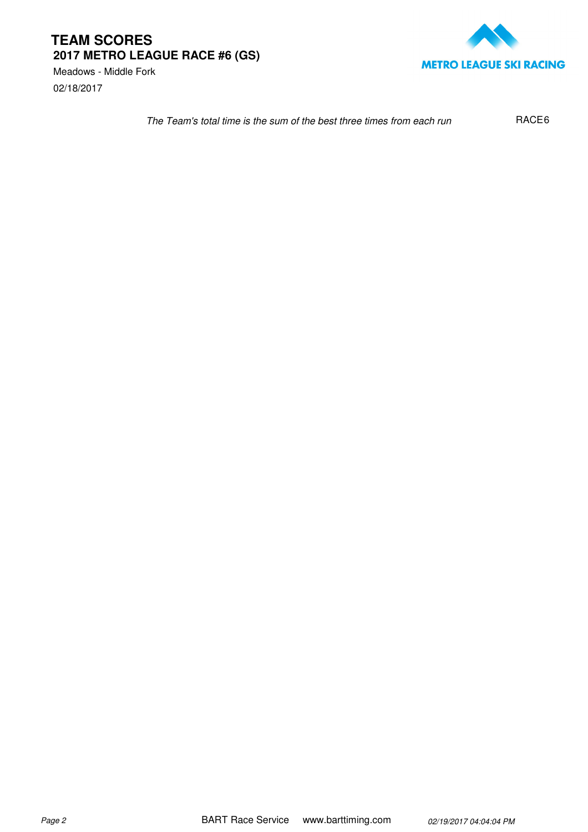02/18/2017 Meadows - Middle Fork



The Team's total time is the sum of the best three times from each run RACE<sub>6</sub>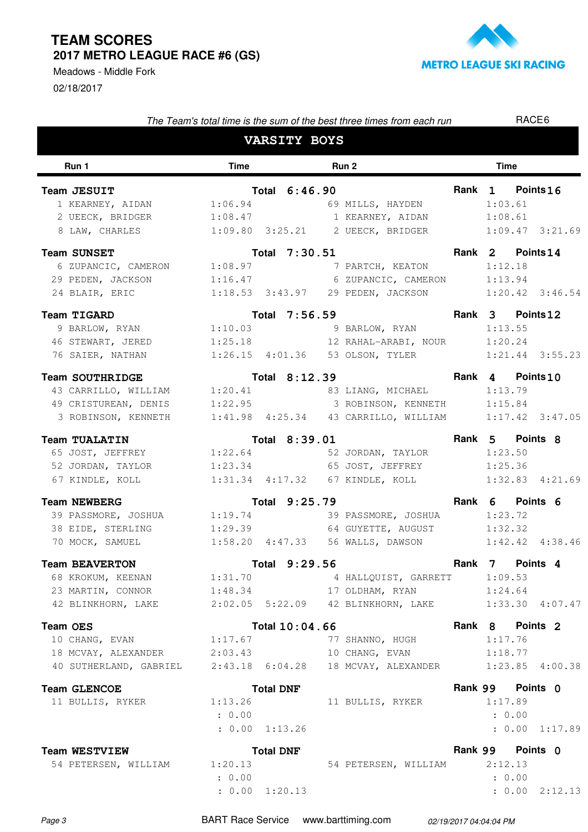02/18/2017 Meadows - Middle Fork



| The Team's total time is the sum of the best three times from each run     |                             |                     |  |                                                          |  | RACE <sub>6</sub> |                |  |  |  |
|----------------------------------------------------------------------------|-----------------------------|---------------------|--|----------------------------------------------------------|--|-------------------|----------------|--|--|--|
|                                                                            |                             | <b>VARSITY BOYS</b> |  |                                                          |  |                   |                |  |  |  |
| Run 1                                                                      | <b>Time</b><br><b>Run 2</b> |                     |  |                                                          |  |                   | <b>Time</b>    |  |  |  |
| Team JESUIT                                                                |                             | Total 6:46.90       |  |                                                          |  | Rank 1 Points 16  |                |  |  |  |
| 1 KEARNEY, AIDAN 1:06.94 69 MILLS, HAYDEN 1:03.61                          |                             |                     |  |                                                          |  |                   |                |  |  |  |
| 2 UEECK, BRIDGER 1:08.47 1 KEARNEY, AIDAN 1:08.61                          |                             |                     |  |                                                          |  |                   |                |  |  |  |
| 8 LAW, CHARLES 1:09.80 3:25.21 2 UEECK, BRIDGER 1:09.47 3:21.69            |                             |                     |  |                                                          |  |                   |                |  |  |  |
| <b>Team SUNSET</b>                                                         |                             | Total 7:30.51       |  |                                                          |  | Rank 2 Points 14  |                |  |  |  |
| 6 ZUPANCIC, CAMERON 1:08.97                                                |                             |                     |  | 7 PARTCH, KEATON 1:12.18                                 |  |                   |                |  |  |  |
| 29 PEDEN, JACKSON 1:16.47 6 ZUPANCIC, CAMERON 1:13.94                      |                             |                     |  |                                                          |  |                   |                |  |  |  |
| 24 BLAIR, ERIC                                                             |                             |                     |  | 1:18.53  3:43.97  29  PEDEN, JACKSON  1:20.42  3:46.54   |  |                   |                |  |  |  |
| Team TIGARD                                                                |                             | Total 7:56.59       |  |                                                          |  | Rank 3 Points 12  |                |  |  |  |
| 9 BARLOW, RYAN 1:10.03 9 BARLOW, RYAN                                      |                             |                     |  |                                                          |  | 1:13.55           |                |  |  |  |
| 46 STEWART, JERED 1:25.18 12 RAHAL-ARABI, NOUR 1:20.24                     |                             |                     |  |                                                          |  |                   |                |  |  |  |
| 76 SAIER, NATHAN 1:26.15 4:01.36 53 OLSON, TYLER 1:21.44 3:55.23           |                             |                     |  |                                                          |  |                   |                |  |  |  |
| <b>Team SOUTHRIDGE</b>                                                     | Total 8:12.39               |                     |  | Rank 4 Points 10                                         |  |                   |                |  |  |  |
| 43 CARRILLO, WILLIAM 1:20.41 83 LIANG, MICHAEL 1:13.79                     |                             |                     |  |                                                          |  |                   |                |  |  |  |
| 49 CRISTUREAN, DENIS 1:22.95 3 ROBINSON, KENNETH 1:15.84                   |                             |                     |  |                                                          |  |                   |                |  |  |  |
| 3 ROBINSON, KENNETH 1:41.98 4:25.34 43 CARRILLO, WILLIAM 1:17.42 3:47.05   |                             |                     |  |                                                          |  |                   |                |  |  |  |
| <b>Team TUALATIN</b>                                                       |                             |                     |  | Total 8:39.01                                            |  | Rank 5 Points 8   |                |  |  |  |
| 65 JOST, JEFFREY 1:22.64 52 JORDAN, TAYLOR 1:23.50                         |                             |                     |  |                                                          |  |                   |                |  |  |  |
|                                                                            |                             |                     |  |                                                          |  |                   |                |  |  |  |
| 67 KINDLE, KOLL 1:31.34 4:17.32 67 KINDLE, KOLL 1:32.83 4:21.69            |                             |                     |  |                                                          |  |                   |                |  |  |  |
| <b>Team NEWBERG</b>                                                        |                             |                     |  | Total 9:25.79                                            |  | Rank 6 Points 6   |                |  |  |  |
| 39 PASSMORE, JOSHUA 1:19.74                                                |                             |                     |  | 39 PASSMORE, JOSHUA 1:23.72                              |  |                   |                |  |  |  |
| 38 EIDE, STERLING 1:29.39 64 GUYETTE, AUGUST 1:32.32                       |                             |                     |  |                                                          |  |                   |                |  |  |  |
| 70 MOCK, SAMUEL                                                            |                             |                     |  | $1:58.20$ $4:47.33$ 56 WALLS, DAWSON $1:42.42$ $4:38.46$ |  |                   |                |  |  |  |
| <b>Team BEAVERTON</b>                                                      |                             | Total 9:29.56       |  |                                                          |  | Rank 7 Points 4   |                |  |  |  |
| 68 KROKUM, KEENAN 1:31.70                                                  |                             |                     |  | 4 HALLQUIST, GARRETT 1:09.53                             |  |                   |                |  |  |  |
| 23 MARTIN, CONNOR 1:48.34 17 OLDHAM, RYAN 1:24.64                          |                             |                     |  |                                                          |  |                   |                |  |  |  |
| 42 BLINKHORN, LAKE 2:02.05 5:22.09 42 BLINKHORN, LAKE 1:33.30 4:07.47      |                             |                     |  |                                                          |  |                   |                |  |  |  |
| <b>Team OES</b>                                                            |                             | Total 10:04.66      |  |                                                          |  | Rank 8 Points 2   |                |  |  |  |
| 10 CHANG, EVAN                                                             | 1:17.67                     |                     |  | 77 SHANNO, HUGH                                          |  | 1:17.76           |                |  |  |  |
| 18 MCVAY, ALEXANDER 2:03.43 10 CHANG, EVAN 1:18.77                         |                             |                     |  |                                                          |  |                   |                |  |  |  |
| 40 SUTHERLAND, GABRIEL 2:43.18 6:04.28 18 MCVAY, ALEXANDER 1:23.85 4:00.38 |                             |                     |  |                                                          |  |                   |                |  |  |  |
| <b>Team GLENCOE</b>                                                        | <b>Total DNF</b>            |                     |  |                                                          |  | Rank 99 Points 0  |                |  |  |  |
| 11 BULLIS, RYKER                                                           | 1:13.26                     |                     |  | 11 BULLIS, RYKER                                         |  | 1:17.89           |                |  |  |  |
|                                                                            | : 0.00                      |                     |  |                                                          |  | : 0.00            |                |  |  |  |
|                                                                            | : 0.00 1:13.26              |                     |  |                                                          |  |                   | : 0.00 1:17.89 |  |  |  |
| <b>Team WESTVIEW</b>                                                       |                             | <b>Total DNF</b>    |  |                                                          |  | Rank 99 Points 0  |                |  |  |  |
| 54 PETERSEN, WILLIAM                                                       | 1:20.13                     |                     |  | 54 PETERSEN, WILLIAM 2:12.13                             |  |                   |                |  |  |  |
|                                                                            | : 0.00                      |                     |  |                                                          |  | : 0.00            |                |  |  |  |

 $: 0.00 1:20.13$ 

: 0.00 1:20.13 2:12.13